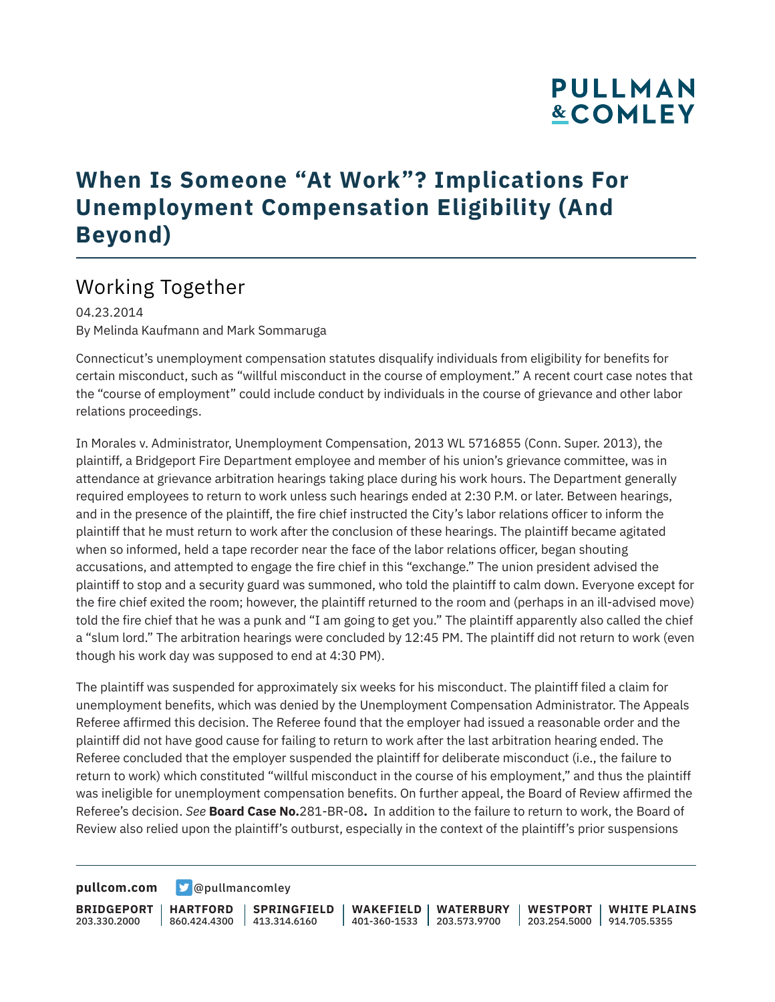# **PULLMAN &COMLEY**

### **When Is Someone "At Work"? Implications For Unemployment Compensation Eligibility (And Beyond)**

### Working Together

04.23.2014 By Melinda Kaufmann and Mark Sommaruga

Connecticut's unemployment compensation statutes disqualify individuals from eligibility for benefits for certain misconduct, such as "willful misconduct in the course of employment." A recent court case notes that the "course of employment" could include conduct by individuals in the course of grievance and other labor relations proceedings.

In Morales v. Administrator, Unemployment Compensation, 2013 WL 5716855 (Conn. Super. 2013), the plaintiff, a Bridgeport Fire Department employee and member of his union's grievance committee, was in attendance at grievance arbitration hearings taking place during his work hours. The Department generally required employees to return to work unless such hearings ended at 2:30 P.M. or later. Between hearings, and in the presence of the plaintiff, the fire chief instructed the City's labor relations officer to inform the plaintiff that he must return to work after the conclusion of these hearings. The plaintiff became agitated when so informed, held a tape recorder near the face of the labor relations officer, began shouting accusations, and attempted to engage the fire chief in this "exchange." The union president advised the plaintiff to stop and a security guard was summoned, who told the plaintiff to calm down. Everyone except for the fire chief exited the room; however, the plaintiff returned to the room and (perhaps in an ill-advised move) told the fire chief that he was a punk and "I am going to get you." The plaintiff apparently also called the chief a "slum lord." The arbitration hearings were concluded by 12:45 PM. The plaintiff did not return to work (even though his work day was supposed to end at 4:30 PM).

The plaintiff was suspended for approximately six weeks for his misconduct. The plaintiff filed a claim for unemployment benefits, which was denied by the Unemployment Compensation Administrator. The Appeals Referee affirmed this decision. The Referee found that the employer had issued a reasonable order and the plaintiff did not have good cause for failing to return to work after the last arbitration hearing ended. The Referee concluded that the employer suspended the plaintiff for deliberate misconduct (i.e., the failure to return to work) which constituted "willful misconduct in the course of his employment," and thus the plaintiff was ineligible for unemployment compensation benefits. On further appeal, the Board of Review affirmed the Referee's decision. *See* **Board Case No.**281-BR-08**.** In addition to the failure to return to work, the Board of Review also relied upon the plaintiff's outburst, especially in the context of the plaintiff's prior suspensions

**[pullcom.com](https://www.pullcom.com) g** [@pullmancomley](https://twitter.com/PullmanComley)

**BRIDGEPORT** 203.330.2000

**HARTFORD**

860.424.4300 413.314.6160 **SPRINGFIELD** **WAKEFIELD WATERBURY** 401-360-1533 203.573.9700

**WESTPORT WHITE PLAINS** 203.254.5000 914.705.5355